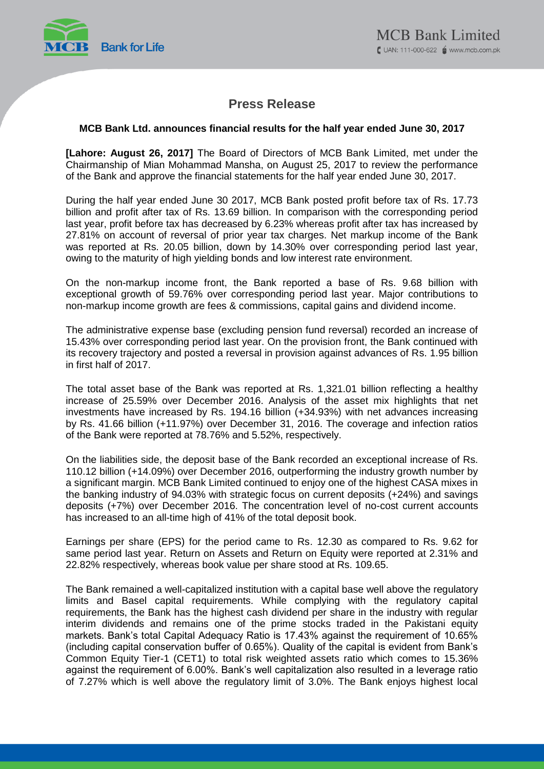

# **Press Release**

### **MCB Bank Ltd. announces financial results for the half year ended June 30, 2017**

**[Lahore: August 26, 2017]** The Board of Directors of MCB Bank Limited, met under the Chairmanship of Mian Mohammad Mansha, on August 25, 2017 to review the performance of the Bank and approve the financial statements for the half year ended June 30, 2017.

During the half year ended June 30 2017, MCB Bank posted profit before tax of Rs. 17.73 billion and profit after tax of Rs. 13.69 billion. In comparison with the corresponding period last year, profit before tax has decreased by 6.23% whereas profit after tax has increased by 27.81% on account of reversal of prior year tax charges. Net markup income of the Bank was reported at Rs. 20.05 billion, down by 14.30% over corresponding period last year, owing to the maturity of high yielding bonds and low interest rate environment.

On the non-markup income front, the Bank reported a base of Rs. 9.68 billion with exceptional growth of 59.76% over corresponding period last year. Major contributions to non-markup income growth are fees & commissions, capital gains and dividend income.

The administrative expense base (excluding pension fund reversal) recorded an increase of 15.43% over corresponding period last year. On the provision front, the Bank continued with its recovery trajectory and posted a reversal in provision against advances of Rs. 1.95 billion in first half of 2017.

The total asset base of the Bank was reported at Rs. 1,321.01 billion reflecting a healthy increase of 25.59% over December 2016. Analysis of the asset mix highlights that net investments have increased by Rs. 194.16 billion (+34.93%) with net advances increasing by Rs. 41.66 billion (+11.97%) over December 31, 2016. The coverage and infection ratios of the Bank were reported at 78.76% and 5.52%, respectively.

On the liabilities side, the deposit base of the Bank recorded an exceptional increase of Rs. 110.12 billion (+14.09%) over December 2016, outperforming the industry growth number by a significant margin. MCB Bank Limited continued to enjoy one of the highest CASA mixes in the banking industry of 94.03% with strategic focus on current deposits (+24%) and savings deposits (+7%) over December 2016. The concentration level of no-cost current accounts has increased to an all-time high of 41% of the total deposit book.

Earnings per share (EPS) for the period came to Rs. 12.30 as compared to Rs. 9.62 for same period last year. Return on Assets and Return on Equity were reported at 2.31% and 22.82% respectively, whereas book value per share stood at Rs. 109.65.

The Bank remained a well-capitalized institution with a capital base well above the regulatory limits and Basel capital requirements. While complying with the regulatory capital requirements, the Bank has the highest cash dividend per share in the industry with regular interim dividends and remains one of the prime stocks traded in the Pakistani equity markets. Bank's total Capital Adequacy Ratio is 17.43% against the requirement of 10.65% (including capital conservation buffer of 0.65%). Quality of the capital is evident from Bank's Common Equity Tier-1 (CET1) to total risk weighted assets ratio which comes to 15.36% against the requirement of 6.00%. Bank's well capitalization also resulted in a leverage ratio of 7.27% which is well above the regulatory limit of 3.0%. The Bank enjoys highest local